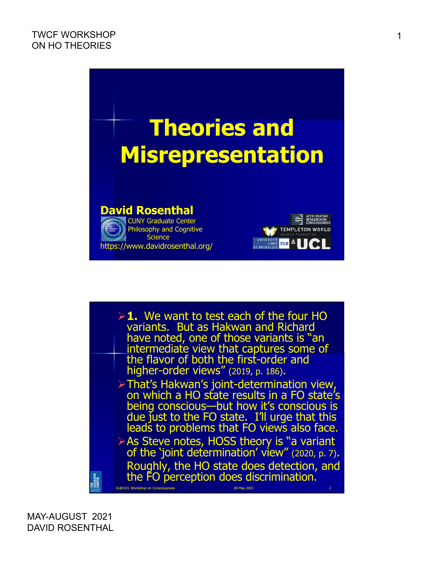

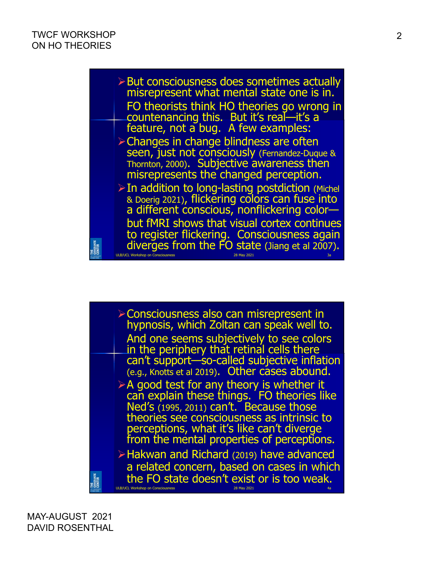

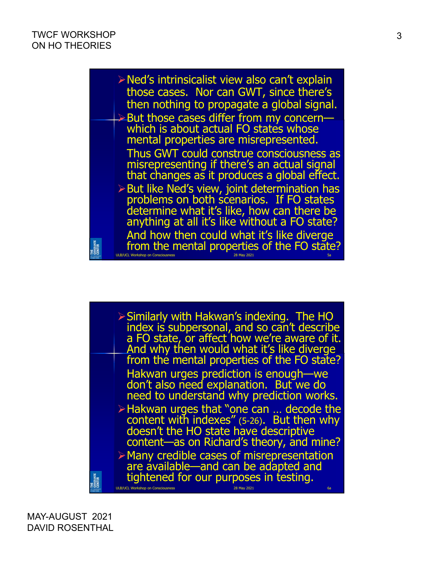

Similarly with Hakwan's indexing. The HO index is subpersonal, and so can't describe a FO state, or affect how we're aware of it. And why then would what it's like diverge from the mental properties of the FO state? Hakwan urges prediction is enough—we don't also need explanation. But we do need to understand why prediction works. Hakwan urges that "one can … decode the content with indexes" (5-26). But then why doesn't the HO state have descriptive content—as on Richard's theory, and mine? Many credible cases of misrepresentation are available—and can be adapted and tightened for our purposes in testing. SRADUATE<br>JENTER ULB/UCL Workshop on Consciousness 28 May 2021 6a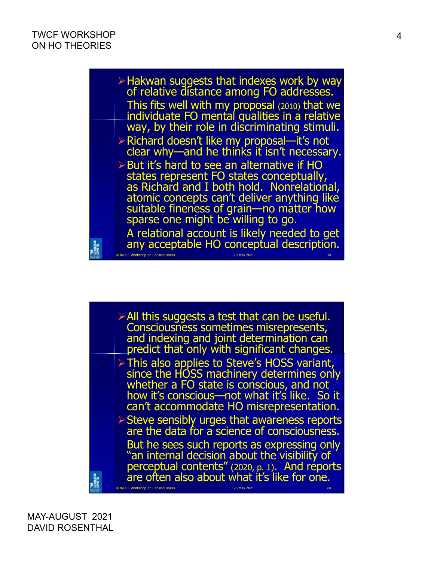

All this suggests a test that can be useful. Consciousness sometimes misrepresents, and indexing and joint determination can predict that only with significant changes. > This also applies to Steve's HOSS variant, since the HOSS machinery determines only whether a FO state is conscious, and not how it's conscious—not what it's like. So it can't accommodate HO misrepresentation. Steve sensibly urges that awareness reports are the data for a science of consciousness. But he sees such reports as expressing only an internal decision about the visibility of perceptual contents" (2020, p. 1). And reports<br>are often also about what it's like for one. SRADUATE<br>Jenter ULB/UCL Workshop on Consciousness 28 May 2021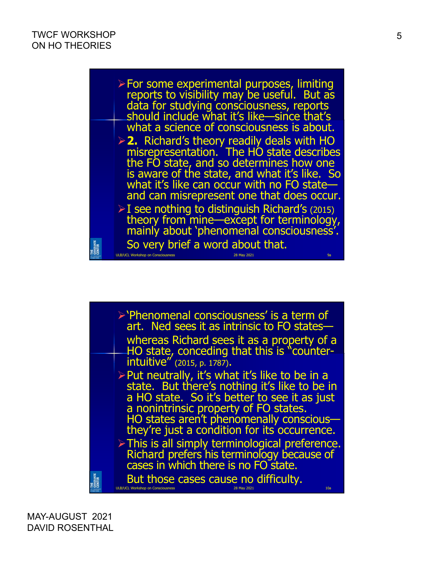$\triangleright$  For some experimental purposes, limiting reports to visibility may be useful. But as data for studying consciousness, reports should include what it's like—since that's what a science of consciousness is about. **2.** Richard's theory readily deals with HO misrepresentation. The HO state describes the FO state, and so determines how one is aware of the state, and what it's like. So what it's like can occur with no FO stateand can misrepresent one that does occur.  $\triangleright$  I see nothing to distinguish Richard's (2015) theory from mine—except for terminology, mainly about 'phenomenal consciousness'. So very brief a word about that. ITIE<br>Graduate<br>Center ULB/UCL Workshop on Consciousness 28 May 2021 9a

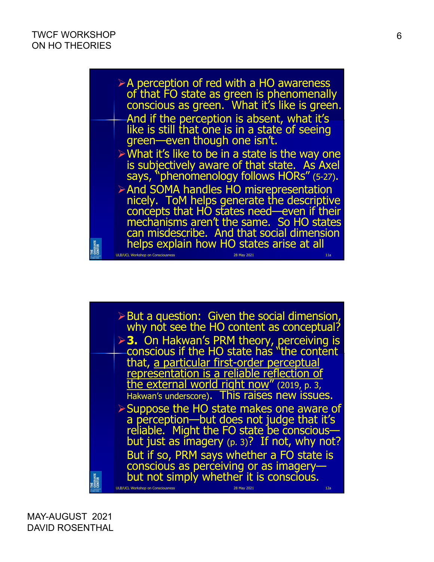

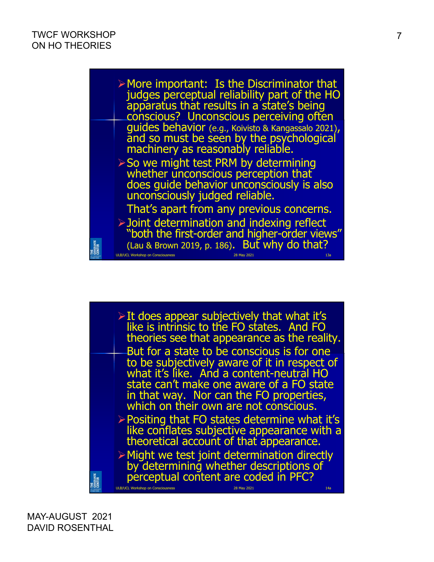

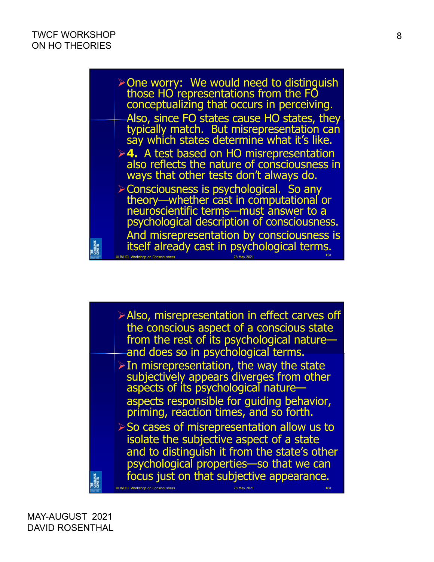$\triangleright$  One worry: We would need to distinguish those HO representations from the FO conceptualizing that occurs in perceiving. Also, since FO states cause HO states, they typically match. But misrepresentation can say which states determine what it's like. **4.** A test based on HO misrepresentation also reflects the nature of consciousness in ways that other tests don't always do. Consciousness is psychological. So any theory—whether cast in computational or neuroscientific terms—must answer to a psychological description of consciousness. And misrepresentation by consciousness is THE<br>Graduate<br>Center itself already cast in psychological terms. ULB/UCL Workshop on Consciousness 28 May 2021

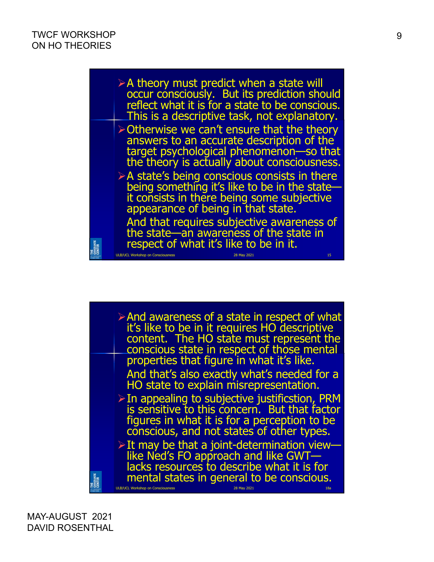

 $\triangleright$  And awareness of a state in respect of what it's like to be in it requires HO descriptive content. The HO state must represent the conscious state in respect of those mental properties that figure in what it's like. And that's also exactly what's needed for a HO state to explain misrepresentation.  $\triangleright$  In appealing to subjective justificstion, PRM is sensitive to this concern. But that factor figures in what it is for a perception to be conscious, and not states of other types.  $\triangleright$  It may be that a joint-determination viewlike Ned's FO approach and like GWT lacks resources to describe what it is for SRADUATE<br>Jenter mental states in general to be conscious. ULB/UCL Workshop on Consciousness 28 May 2021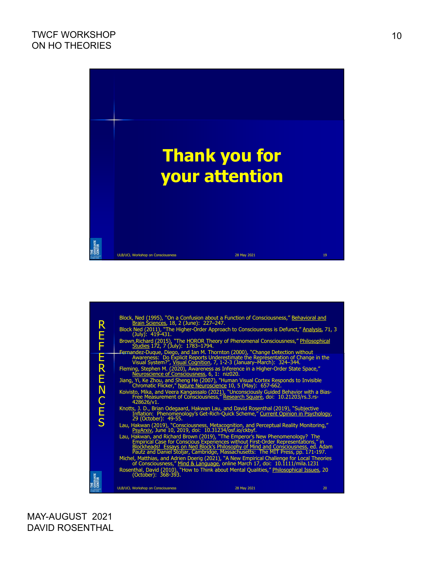

|                           |                                                                                                                                                                                                                                                                                                                                          | Block, Ned (1995), "On a Confusion about a Function of Consciousness," Behavioral and Brain Sciences, 18, 2 (June): 227-247.                                                                                                               |    |  |
|---------------------------|------------------------------------------------------------------------------------------------------------------------------------------------------------------------------------------------------------------------------------------------------------------------------------------------------------------------------------------|--------------------------------------------------------------------------------------------------------------------------------------------------------------------------------------------------------------------------------------------|----|--|
| R                         | (July): 419-431.                                                                                                                                                                                                                                                                                                                         | Block Ned (2011), "The Higher-Order Approach to Consciousness is Defunct," Analysis, 71, 3                                                                                                                                                 |    |  |
| E<br>F                    |                                                                                                                                                                                                                                                                                                                                          | Brown, Richard (2015), "The HOROR Theory of Phenomenal Consciousness," Philosophical<br>Studies 172, 7 (July): 1783-1794.                                                                                                                  |    |  |
| E<br>R                    |                                                                                                                                                                                                                                                                                                                                          | Fernandez-Duque, Diego, and Ian M. Thornton (2000), "Change Detection without<br>Awareness: Do Explicit Reports Underestimate the Representation of Change in the<br>Visual System?", Visual Cognition, 7, 1-2-3 (January-March): 324-344. |    |  |
|                           | Neuroscience of Consciousness, 6, 1: niz020.                                                                                                                                                                                                                                                                                             | Fleming, Stephen M. (2020), Awareness as Inference in a Higher-Order State Space,"                                                                                                                                                         |    |  |
| Ë                         |                                                                                                                                                                                                                                                                                                                                          | Jiang, Yi, Ke Zhou, and Sheng He (2007), "Human Visual Cortex Responds to Invisible Chromatic Flicker," Nature Neuroscience 10, 5 (May): 657-662.                                                                                          |    |  |
| N                         | 428626/v1.                                                                                                                                                                                                                                                                                                                               | Koivisto, Mika, and Veera Kangassalo (2021), "Unconsciously Guided Behavior with a Bias-<br>Free Measurement of Consciousness," Research Square, doi: 10.21203/rs.3.rs-                                                                    |    |  |
| C<br>E<br>S               | 29 (October): 49-55.                                                                                                                                                                                                                                                                                                                     | Knotts, J. D., Brian Odegaard, Hakwan Lau, and David Rosenthal (2019), "Subjective<br>Inflation: Phenomenology's Get-Rich-Quick Scheme," Current Opinion in Psychology,                                                                    |    |  |
|                           |                                                                                                                                                                                                                                                                                                                                          | Lau, Hakwan (2019), "Consciousness, Metacognition, and Perceptual Reality Monitoring,"<br>Princip Production 2019, doi: 10.31234/osf.io/ckbyf.                                                                                             |    |  |
|                           | Lau, Hakwan, and Richard Brown (2019), "The Emperor's New Phenomenology? The<br>Empirical Case for Conscious Experiences without First-Order Representations," in<br>Blockheads! Essays on Ned Block's Philosophy of Mind and Consciousness, ed. Adam<br>Pautz and Daniel Stoljar, Cambridge, Massachusetts: The MIT Press, pp. 171-197. |                                                                                                                                                                                                                                            |    |  |
|                           | Michel, Matthias, and Adrien Doerig (2021), "A New Empirical Challenge for Local Theories<br>of Consciousness," Mind & Language, online March 17, doi: 10.1111/mila.1231                                                                                                                                                                 |                                                                                                                                                                                                                                            |    |  |
| THE<br>GRADUATE<br>CENTER | Rosenthal, David (2010), "How to Think about Mental Qualities," Philosophical Issues, 20<br>$(October): 368-393.$                                                                                                                                                                                                                        |                                                                                                                                                                                                                                            |    |  |
|                           | <b>ULB/UCL Workshop on Consciousness</b>                                                                                                                                                                                                                                                                                                 | 28 May 2021                                                                                                                                                                                                                                | 20 |  |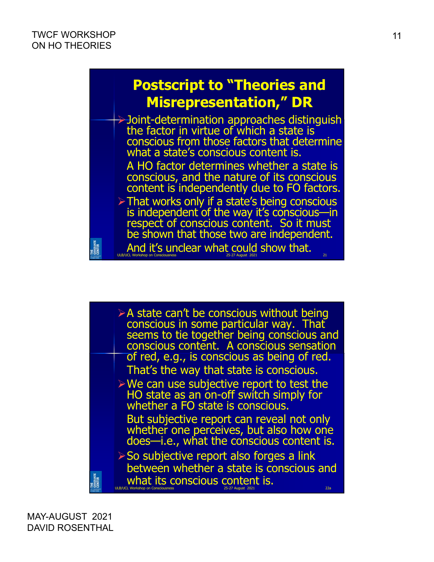ITIE<br>Graduate<br>Center

## **Postscript to "Theories and Misrepresentation," DR**

Joint-determination approaches distinguish the factor in virtue of which a state is conscious from those factors that determine what a state's conscious content is. A HO factor determines whether a state is conscious, and the nature of its conscious content is independently due to FO factors.  $\triangleright$  That works only if a state's being conscious is independent of the way it's conscious—in respect of conscious content. So it must be shown that those two are independent. And it's unclear what could show that.

ULB/UCL Workshop on Consciousness 25-27 August 2021 21

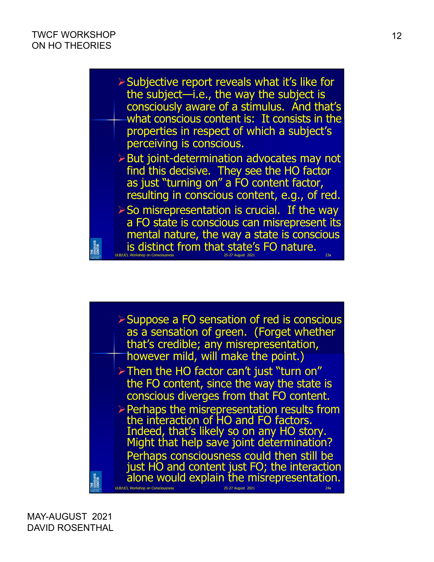

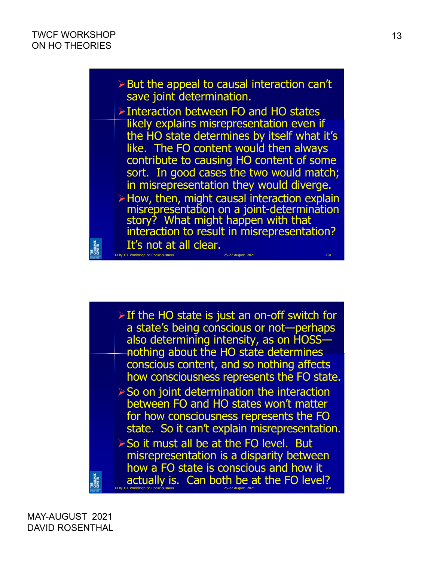

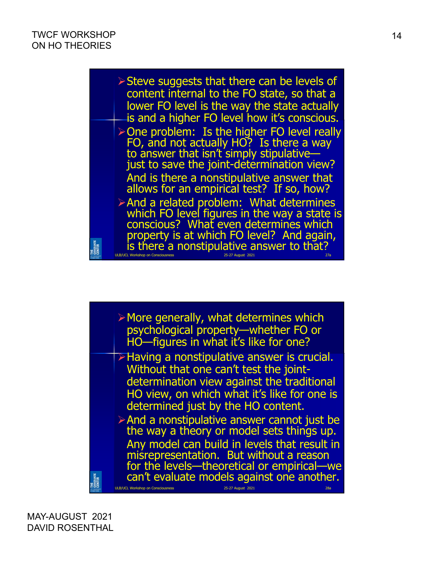

| $\triangleright$ More generally, what determines which<br>psychological property-whether FO or<br>HO-figures in what it's like for one?                                                                                                                                                                                                                                 |
|-------------------------------------------------------------------------------------------------------------------------------------------------------------------------------------------------------------------------------------------------------------------------------------------------------------------------------------------------------------------------|
| <b>Example 2 Figure 2 Property Property</b> Exercise.<br>Without that one can't test the joint-<br>determination view against the traditional<br>HO view, on which what it's like for one is<br>determined just by the HO content.                                                                                                                                      |
| $\triangleright$ And a nonstipulative answer cannot just be<br>the way a theory or model sets things up.<br>Any model can build in levels that result in<br>misrepresentation. But without a reason<br>for the levels—theoretical or empirical—we<br>can't evaluate models against one another.<br><b>ULB/UCL Workshop on Consciousness</b><br>25-27 August 2021<br>28а |